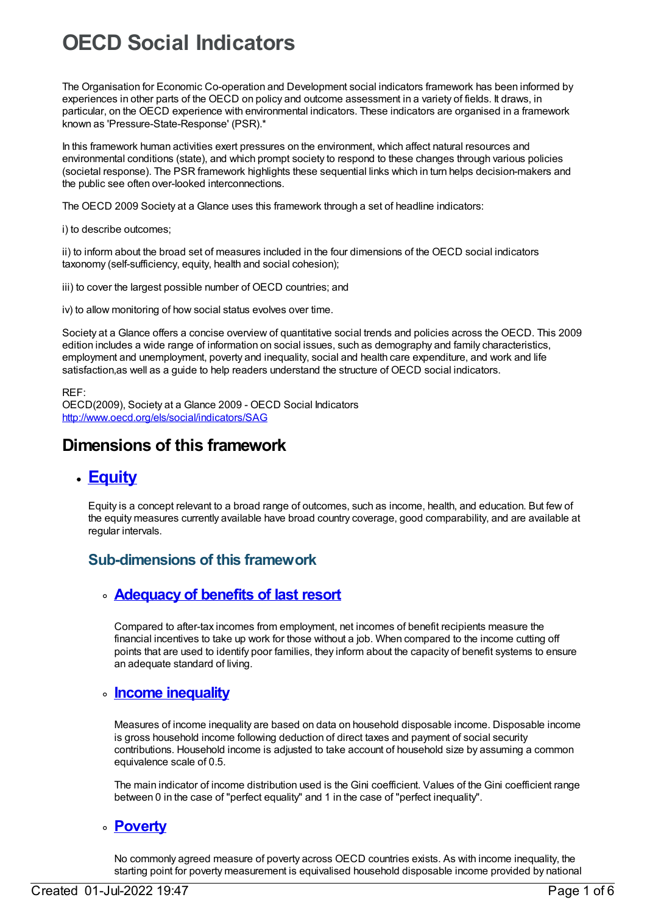# **OECD Social Indicators**

The Organisation for Economic Co-operation and Development social indicators framework has been informed by experiences in other parts of the OECD on policy and outcome assessment in a variety of fields. It draws, in particular, on the OECD experience with environmental indicators. These indicators are organised in a framework known as 'Pressure-State-Response' (PSR).\*

In this framework human activities exert pressures on the environment, which affect natural resources and environmental conditions (state), and which prompt society to respond to these changes through various policies (societal response). The PSR framework highlights these sequential links which in turn helps decision-makers and the public see often over-looked interconnections.

The OECD 2009 Society at a Glance uses this framework through a set of headline indicators:

i) to describe outcomes;

ii) to inform about the broad set of measures included in the four dimensions of the OECD social indicators taxonomy (self-sufficiency, equity, health and social cohesion);

iii) to cover the largest possible number of OECD countries; and

iv) to allow monitoring of how social status evolves over time.

Society at a Glance offers a concise overview of quantitative social trends and policies across the OECD. This 2009 edition includes a wide range of information on social issues, such as demography and family characteristics, employment and unemployment, poverty and inequality, social and health care expenditure, and work and life satisfaction,as well as a guide to help readers understand the structure of OECD social indicators.

#### REF:

OECD(2009), Society at a Glance 2009 - OECD Social Indicators <http://www.oecd.org/els/social/indicators/SAG>

# **Dimensions of this framework**

# **[Equity](https://meteor.aihw.gov.au/content/392685)**

Equity is a concept relevant to a broad range of outcomes, such as income, health, and education. But few of the equity measures currently available have broad country coverage, good comparability, and are available at regular intervals.

# **Sub-dimensions of this framework**

# **[Adequacy](https://meteor.aihw.gov.au/content/392691) of benefits of last resort**

Compared to after-tax incomes from employment, net incomes of benefit recipients measure the financial incentives to take up work for those without a job. When compared to the income cutting off points that are used to identify poor families, they inform about the capacity of benefit systems to ensure an adequate standard of living.

# **Income [inequality](https://meteor.aihw.gov.au/content/392690)**

Measures of income inequality are based on data on household disposable income. Disposable income is gross household income following deduction of direct taxes and payment of social security contributions. Household income is adjusted to take account of household size by assuming a common equivalence scale of 0.5.

The main indicator of income distribution used is the Gini coefficient. Values of the Gini coefficient range between 0 in the case of "perfect equality" and 1 in the case of "perfect inequality".

#### **[Poverty](https://meteor.aihw.gov.au/content/392689)**

No commonly agreed measure of poverty across OECD countries exists. As with income inequality, the starting point for poverty measurement is equivalised household disposable income provided by national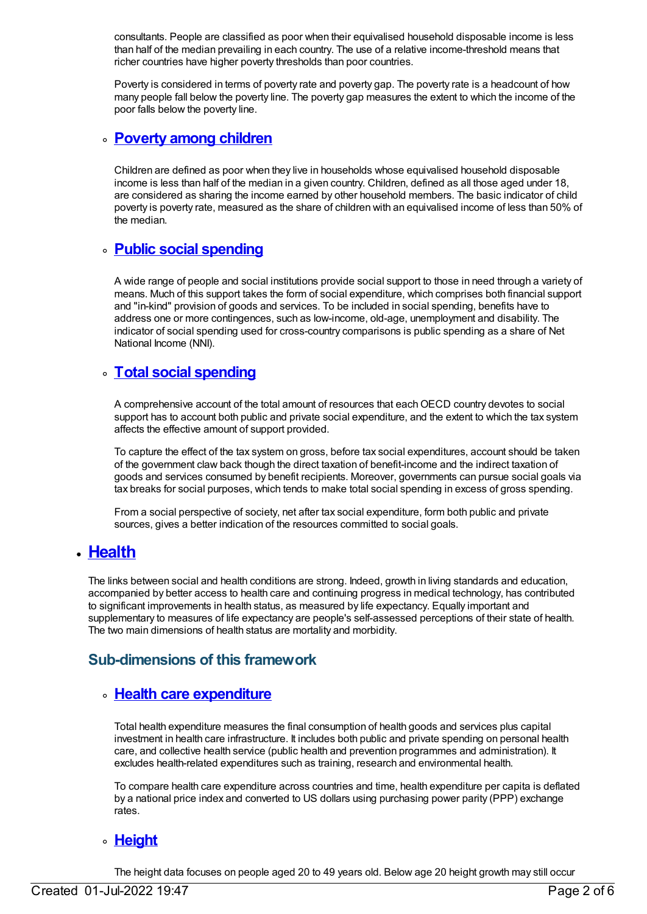consultants. People are classified as poor when their equivalised household disposable income is less than half of the median prevailing in each country. The use of a relative income-threshold means that richer countries have higher poverty thresholds than poor countries.

Poverty is considered in terms of poverty rate and poverty gap. The poverty rate is a headcount of how many people fall below the poverty line. The poverty gap measures the extent to which the income of the poor falls below the poverty line.

### **[Poverty](https://meteor.aihw.gov.au/content/392688) among children**

Children are defined as poor when they live in households whose equivalised household disposable income is less than half of the median in a given country. Children, defined as all those aged under 18, are considered as sharing the income earned by other household members. The basic indicator of child poverty is poverty rate, measured as the share of children with an equivalised income of less than 50% of the median.

# **Public social [spending](https://meteor.aihw.gov.au/content/392687)**

A wide range of people and social institutions provide social support to those in need through a variety of means. Much of this support takes the form of social expenditure, which comprises both financial support and "in-kind" provision of goods and services. To be included in social spending, benefits have to address one or more contingences, such as low-income, old-age, unemployment and disability. The indicator of social spending used for cross-country comparisons is public spending as a share of Net National Income (NNI).

# **Total social [spending](https://meteor.aihw.gov.au/content/392686)**

A comprehensive account of the total amount of resources that each OECD country devotes to social support has to account both public and private social expenditure, and the extent to which the tax system affects the effective amount of support provided.

To capture the effect of the tax system on gross, before tax social expenditures, account should be taken of the government claw back though the direct taxation of benefit-income and the indirect taxation of goods and services consumed by benefit recipients. Moreover, governments can pursue social goals via tax breaks for social purposes, which tends to make total social spending in excess of gross spending.

From a social perspective of society, net after tax social expenditure, form both public and private sources, gives a better indication of the resources committed to social goals.

# **[Health](https://meteor.aihw.gov.au/content/392676)**

The links between social and health conditions are strong. Indeed, growth in living standards and education, accompanied by better access to health care and continuing progress in medical technology, has contributed to significant improvements in health status, as measured by life expectancy. Equally important and supplementary to measures of life expectancy are people's self-assessed perceptions of their state of health. The two main dimensions of health status are mortality and morbidity.

# **Sub-dimensions of this framework**

# **Health care [expenditure](https://meteor.aihw.gov.au/content/392684)**

Total health expenditure measures the final consumption of health goods and services plus capital investment in health care infrastructure. It includes both public and private spending on personal health care, and collective health service (public health and prevention programmes and administration). It excludes health-related expenditures such as training, research and environmental health.

To compare health care expenditure across countries and time, health expenditure per capita is deflated by a national price index and converted to US dollars using purchasing power parity (PPP) exchange rates.

#### **[Height](https://meteor.aihw.gov.au/content/392683)**

The height data focuses on people aged 20 to 49 years old. Below age 20 height growth may still occur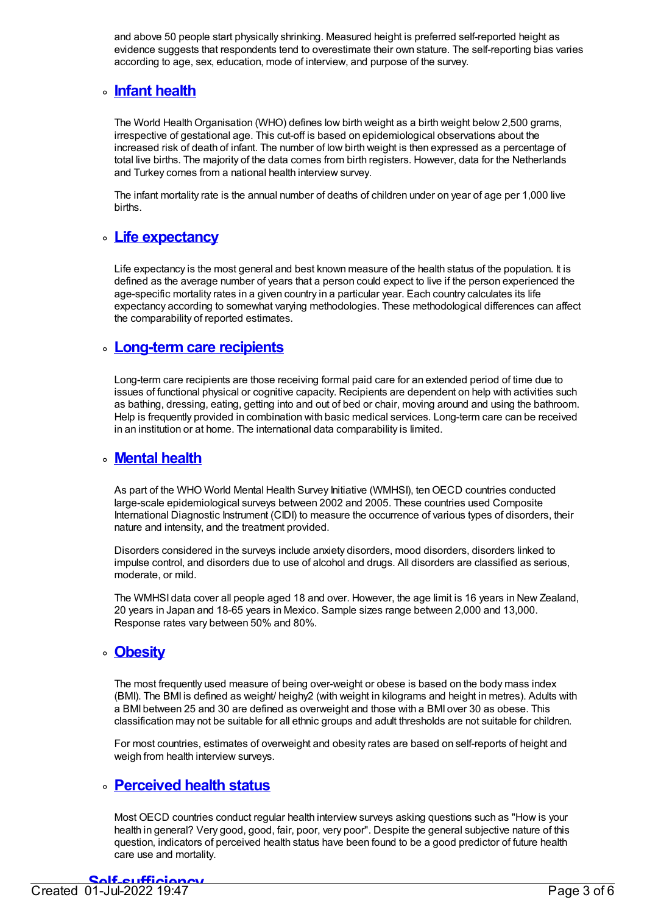and above 50 people start physically shrinking. Measured height is preferred self-reported height as evidence suggests that respondents tend to overestimate their own stature. The self-reporting bias varies according to age, sex, education, mode of interview, and purpose of the survey.

# **Infant [health](https://meteor.aihw.gov.au/content/392682)**

The World Health Organisation (WHO) defines low birth weight as a birth weight below 2,500 grams, irrespective of gestational age. This cut-off is based on epidemiological observations about the increased risk of death of infant. The number of low birth weight is then expressed as a percentage of total live births. The majority of the data comes from birth registers. However, data for the Netherlands and Turkey comes from a national health interview survey.

The infant mortality rate is the annual number of deaths of children under on year of age per 1,000 live births.

# **Life [expectancy](https://meteor.aihw.gov.au/content/392681)**

Life expectancy is the most general and best known measure of the health status of the population. It is defined as the average number of years that a person could expect to live if the person experienced the age-specific mortality rates in a given country in a particular year. Each country calculates its life expectancy according to somewhat varying methodologies. These methodological differences can affect the comparability of reported estimates.

#### **[Long-term](https://meteor.aihw.gov.au/content/392680) care recipients**

Long-term care recipients are those receiving formal paid care for an extended period of time due to issues of functional physical or cognitive capacity. Recipients are dependent on help with activities such as bathing, dressing, eating, getting into and out of bed or chair, moving around and using the bathroom. Help is frequently provided in combination with basic medical services. Long-term care can be received in an institution or at home. The international data comparability is limited.

#### **[Mental](https://meteor.aihw.gov.au/content/392679) health**

As part of the WHO World Mental Health Survey Initiative (WMHSI), tenOECD countries conducted large-scale epidemiological surveys between 2002 and 2005. These countries used Composite International Diagnostic Instrument (CIDI) to measure the occurrence of various types of disorders, their nature and intensity, and the treatment provided.

Disorders considered in the surveys include anxiety disorders, mood disorders, disorders linked to impulse control, and disorders due to use of alcohol and drugs. All disorders are classified as serious, moderate, or mild.

The WMHSI data cover all people aged 18 and over. However, the age limit is 16 years in New Zealand, 20 years in Japan and 18-65 years in Mexico. Sample sizes range between 2,000 and 13,000. Response rates vary between 50% and 80%.

#### **[Obesity](https://meteor.aihw.gov.au/content/392678)**

The most frequently used measure of being over-weight or obese is based on the body mass index (BMI). The BMI is defined as weight/ heighy2 (with weight in kilograms and height in metres). Adults with a BMI between 25 and 30 are defined as overweight and those with a BMI over 30 as obese. This classification may not be suitable for all ethnic groups and adult thresholds are not suitable for children.

For most countries, estimates of overweight and obesity rates are based on self-reports of height and weigh from health interview surveys.

#### **[Perceived](https://meteor.aihw.gov.au/content/392677) health status**

Most OECD countries conduct regular health interview surveys asking questions such as "How is your health in general? Very good, good, fair, poor, very poor". Despite the general subjective nature of this question, indicators of perceived health status have been found to be a good predictor of future health care use and mortality.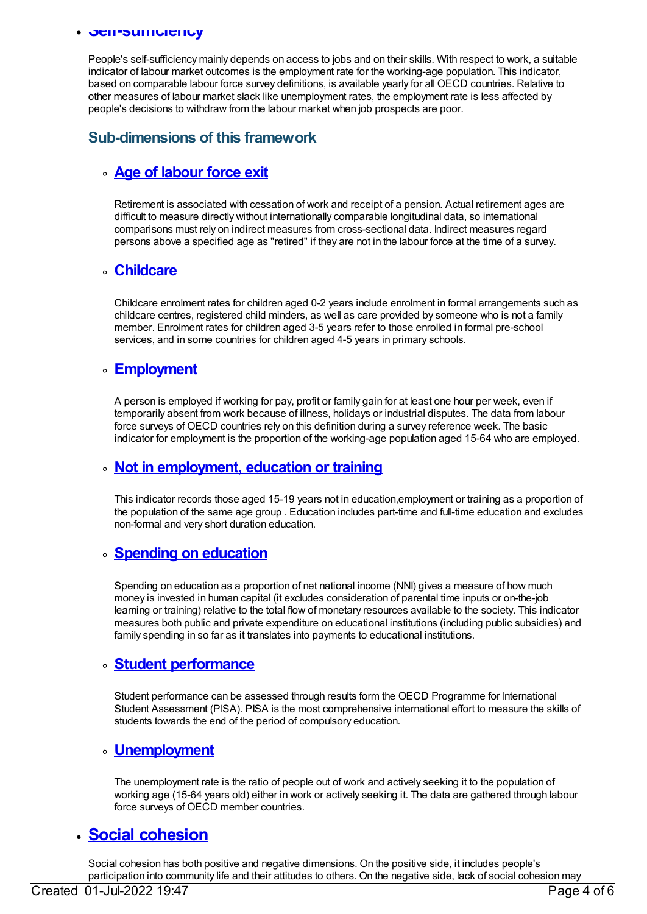#### **Self-sufficiency**

People's self-sufficiency mainly depends on access to jobs and on their skills. With respect to work, a suitable indicator of labour market outcomes is the employment rate for the working-age population. This indicator, based on comparable labour force survey definitions, is available yearly for all OECD countries. Relative to other measures of labour market slack like unemployment rates, the employment rate is less affected by people's decisions to withdraw from the labour market when job prospects are poor.

# **Sub-dimensions of this framework**

## **Age of [labour](https://meteor.aihw.gov.au/content/392675) force exit**

Retirement is associated with cessation of work and receipt of a pension. Actual retirement ages are difficult to measure directly without internationally comparable longitudinal data, so international comparisons must rely on indirect measures from cross-sectional data. Indirect measures regard persons above a specified age as "retired" if they are not in the labour force at the time of a survey.

#### **[Childcare](https://meteor.aihw.gov.au/content/392674)**

Childcare enrolment rates for children aged 0-2 years include enrolment in formal arrangements such as childcare centres, registered child minders, as well as care provided by someone who is not a family member. Enrolment rates for children aged 3-5 years refer to those enrolled in formal pre-school services, and in some countries for children aged 4-5 years in primary schools.

## **[Employment](https://meteor.aihw.gov.au/content/392673)**

A person is employed if working for pay, profit or family gain for at least one hour per week, even if temporarily absent from work because of illness, holidays or industrial disputes. The data from labour force surveys of OECD countries rely on this definition during a survey reference week. The basic indicator for employment is the proportion of the working-age population aged 15-64 who are employed.

#### **Not in [employment,](https://meteor.aihw.gov.au/content/392672) education or training**

This indicator records those aged 15-19 years not in education,employment or training as a proportion of the population of the same age group . Education includes part-time and full-time education and excludes non-formal and very short duration education.

#### **Spending on [education](https://meteor.aihw.gov.au/content/392671)**

Spending on education as a proportion of net national income (NNI) gives a measure of how much money is invested in human capital (it excludes consideration of parental time inputs or on-the-job learning or training) relative to the total flow of monetary resources available to the society. This indicator measures both public and private expenditure on educational institutions (including public subsidies) and family spending in so far as it translates into payments to educational institutions.

#### **Student [performance](https://meteor.aihw.gov.au/content/392670)**

Student performance can be assessed through results form the OECD Programme for International Student Assessment (PISA). PISA is the most comprehensive international effort to measure the skills of students towards the end of the period of compulsory education.

#### **[Unemployment](https://meteor.aihw.gov.au/content/392668)**

The unemployment rate is the ratio of people out of work and actively seeking it to the population of working age (15-64 years old) either in work or actively seeking it. The data are gathered through labour force surveys of OECD member countries.

# **Social [cohesion](https://meteor.aihw.gov.au/content/392660)**

Social cohesion has both positive and negative dimensions. On the positive side, it includes people's participation into community life and their attitudes to others. On the negative side, lack of social cohesion may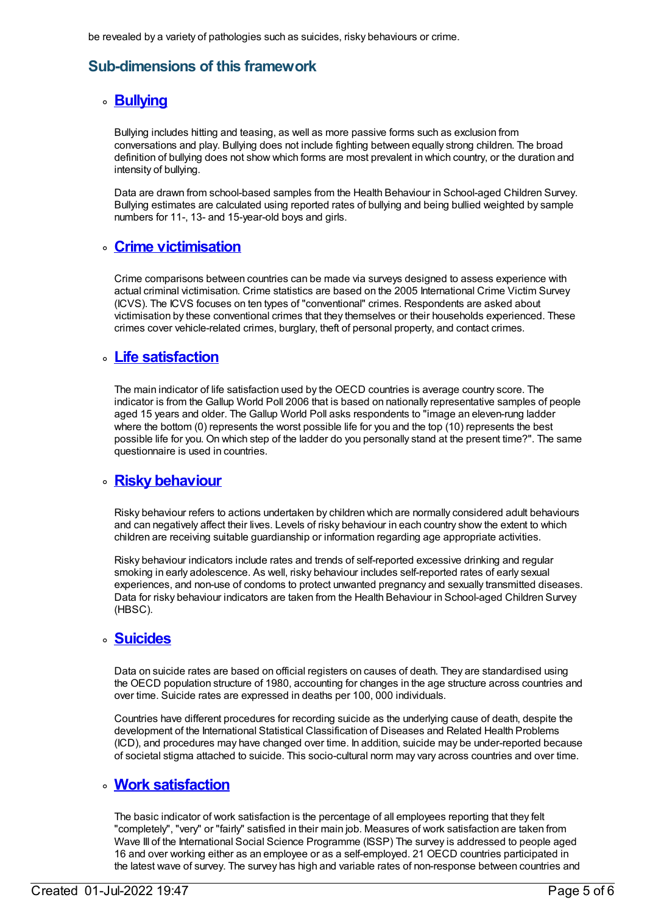# **Sub-dimensions of this framework**

# **[Bullying](https://meteor.aihw.gov.au/content/392666)**

Bullying includes hitting and teasing, as well as more passive forms such as exclusion from conversations and play. Bullying does not include fighting between equally strong children. The broad definition of bullying does not show which forms are most prevalent in which country, or the duration and intensity of bullying.

Data are drawn from school-based samples from the Health Behaviour in School-aged Children Survey. Bullying estimates are calculated using reported rates of bullying and being bullied weighted by sample numbers for 11-, 13- and 15-year-old boys and girls.

# **Crime [victimisation](https://meteor.aihw.gov.au/content/392665)**

Crime comparisons between countries can be made via surveys designed to assess experience with actual criminal victimisation. Crime statistics are based on the 2005 International Crime Victim Survey (ICVS). The ICVS focuses on ten types of "conventional" crimes. Respondents are asked about victimisation by these conventional crimes that they themselves or their households experienced. These crimes cover vehicle-related crimes, burglary, theft of personal property, and contact crimes.

# **Life [satisfaction](https://meteor.aihw.gov.au/content/392664)**

The main indicator of life satisfaction used by the OECD countries is average country score. The indicator is from the Gallup World Poll 2006 that is based on nationally representative samples of people aged 15 years and older. The Gallup World Poll asks respondents to "image an eleven-rung ladder where the bottom (0) represents the worst possible life for you and the top (10) represents the best possible life for you. On which step of the ladder do you personally stand at the present time?". The same questionnaire is used in countries.

# **Risky [behaviour](https://meteor.aihw.gov.au/content/392663)**

Risky behaviour refers to actions undertaken by children which are normally considered adult behaviours and can negatively affect their lives. Levels of risky behaviour in each country show the extent to which children are receiving suitable guardianship or information regarding age appropriate activities.

Risky behaviour indicators include rates and trends of self-reported excessive drinking and regular smoking in early adolescence. As well, risky behaviour includes self-reported rates of early sexual experiences, and non-use of condoms to protect unwanted pregnancy and sexually transmitted diseases. Data for risky behaviour indicators are taken from the Health Behaviour in School-aged Children Survey (HBSC).

# **[Suicides](https://meteor.aihw.gov.au/content/392662)**

Data on suicide rates are based on official registers on causes of death. They are standardised using the OECD population structure of 1980, accounting for changes in the age structure across countries and over time. Suicide rates are expressed in deaths per 100, 000 individuals.

Countries have different procedures for recording suicide as the underlying cause of death, despite the development of the International Statistical Classification of Diseases and Related Health Problems (ICD), and procedures may have changed over time. In addition, suicide may be under-reported because of societal stigma attached to suicide. This socio-cultural norm may vary across countries and over time.

# **Work [satisfaction](https://meteor.aihw.gov.au/content/392661)**

The basic indicator of work satisfaction is the percentage of all employees reporting that they felt "completely", "very" or "fairly" satisfied in their main job. Measures of work satisfaction are taken from Wave III of the International Social Science Programme (ISSP) The survey is addressed to people aged 16 and over working either as an employee or as a self-employed. 21 OECD countries participated in the latest wave of survey. The survey has high and variable rates of non-response between countries and